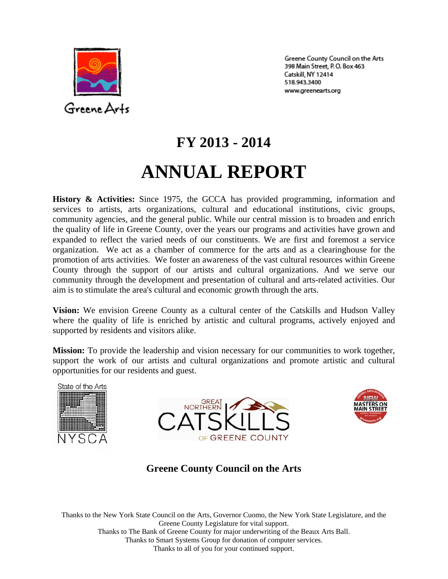

Greene County Council on the Arts 398 Main Street, P.O. Box 463 Catskill, NY 12414 518.943.3400 www.greenearts.org

# **FY 2013 - 2014 ANNUAL REPORT**

**History & Activities:** Since 1975, the GCCA has provided programming, information and services to artists, arts organizations, cultural and educational institutions, civic groups, community agencies, and the general public. While our central mission is to broaden and enrich the quality of life in Greene County, over the years our programs and activities have grown and expanded to reflect the varied needs of our constituents. We are first and foremost a service organization. We act as a chamber of commerce for the arts and as a clearinghouse for the promotion of arts activities. We foster an awareness of the vast cultural resources within Greene County through the support of our artists and cultural organizations. And we serve our community through the development and presentation of cultural and arts-related activities. Our aim is to stimulate the area's cultural and economic growth through the arts.

**Vision:** We envision Greene County as a cultural center of the Catskills and Hudson Valley where the quality of life is enriched by artistic and cultural programs, actively enjoyed and supported by residents and visitors alike.

**Mission:** To provide the leadership and vision necessary for our communities to work together, support the work of our artists and cultural organizations and promote artistic and cultural opportunities for our residents and guest.







**Greene County Council on the Arts** 

Thanks to the New York State Council on the Arts, Governor Cuomo, the New York State Legislature, and the Greene County Legislature for vital support. Thanks to The Bank of Greene County for major underwriting of the Beaux Arts Ball. Thanks to Smart Systems Group for donation of computer services. Thanks to all of you for your continued support.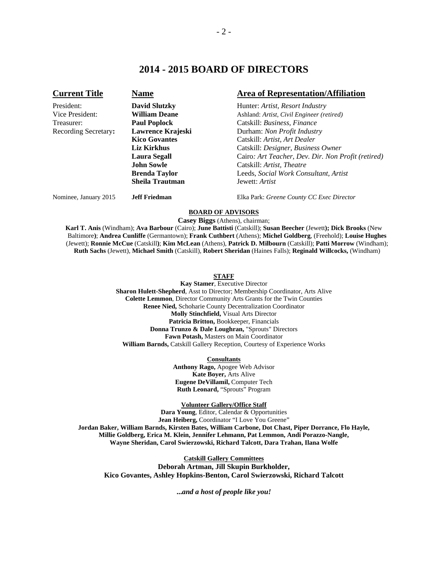## **2014 - 2015 BOARD OF DIRECTORS**

### **Current Title Mame Mame Area of Representation/Affiliation** President: **David Slutzky** Hunter: *Artist, Resort Industry* Vice President: **William Deane Ashland:** *Artist, Civil Engineer (retired)* Treasurer: **Paul Poplock** Catskill: *Business, Finance* Recording Secretary: **Lawrence Krajeski Durham:** *Non Profit Industry* **Kico Govantes Catskill:** *Artist, Art Dealer* **Kico Govantes** Catskill: *Artist, Art Dealer*  **Liz Kirkhus** Catskill: *Designer, Business Owner* **Laura Segall** Cairo*: Art Teacher, Dev. Dir. Non Profit (retired)* **John Sowle** Catskill: *Artist, Theatre* **Brenda Taylor** Leeds, *Social Work Consultant, Artist*  **Sheila Trautman** Jewett: *Artist*

Nominee, January 2015 **Jeff Friedman** Elka Park: *Greene County CC Exec Director* 

#### **BOARD OF ADVISORS**

**Casey Biggs** (Athens), chairman;

**Karl T. Anis** (Windham); **Ava Barbour** (Cairo); **June Battisti** (Catskill); **Susan Beecher** (Jewett**); Dick Brooks** (New Baltimore**)**; **Andrea Cunliffe** (Germantown); **Frank Cuthbert** (Athens); **Michel Goldberg**, (Freehold); **Louise Hughes**  (Jewett); **Ronnie McCue** (Catskill**)**; **Kim McLean** (Athens), **Patrick D. Milbourn** (Catskill); **Patti Morrow** (Windham); **Ruth Sachs** (Jewett), **Michael Smith** (Catskill), **Robert Sheridan** (Haines Falls); **Reginald Willcocks,** (Windham)

#### **STAFF**

**Kay Stamer**, Executive Director **Sharon Hulett-Shepherd**, Asst to Director; Membership Coordinator, Arts Alive **Colette Lemmon**, Director Community Arts Grants for the Twin Counties **Renee Nied,** Schoharie County Decentralization Coordinator **Molly Stinchfield,** Visual Arts Director **Patricia Britton,** Bookkeeper, Financials **Donna Trunzo & Dale Loughran,** "Sprouts" Directors **Fawn Potash,** Masters on Main Coordinator **William Barnds,** Catskill Gallery Reception, Courtesy of Experience Works

**Consultants**

**Anthony Rago,** Apogee Web Advisor **Kate Boyer,** Arts Alive **Eugene DeVillamil,** Computer Tech **Ruth Leonard,** "Sprouts" Program

**Volunteer Gallery/Office Staff**

**Dara Young**, Editor, Calendar & Opportunities **Jean Heiberg,** Coordinator "I Love You Greene" **Jordan Baker, William Barnds, Kirsten Bates, William Carbone, Dot Chast, Piper Dorrance, Flo Hayle, Millie Goldberg, Erica M. Klein, Jennifer Lehmann, Pat Lemmon, Andi Porazzo-Nangle, Wayne Sheridan, Carol Swierzowski, Richard Talcott, Dara Trahan, Ilana Wolfe** 

**Catskill Gallery Committees Deborah Artman, Jill Skupin Burkholder, Kico Govantes, Ashley Hopkins-Benton, Carol Swierzowski, Richard Talcott** 

**...***and a host of people like you!*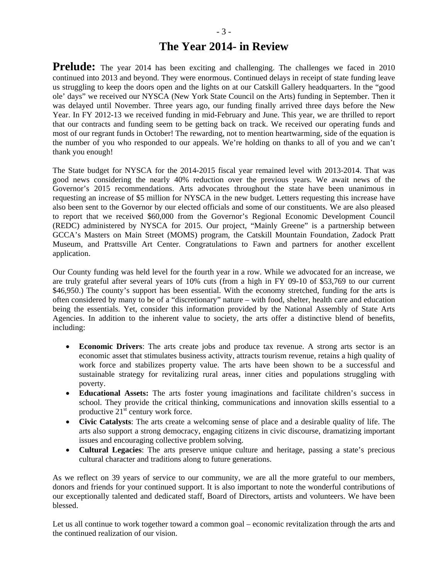**Prelude:** The year 2014 has been exciting and challenging. The challenges we faced in 2010 continued into 2013 and beyond. They were enormous. Continued delays in receipt of state funding leave us struggling to keep the doors open and the lights on at our Catskill Gallery headquarters. In the "good ole' days" we received our NYSCA (New York State Council on the Arts) funding in September. Then it was delayed until November. Three years ago, our funding finally arrived three days before the New Year. In FY 2012-13 we received funding in mid-February and June. This year, we are thrilled to report that our contracts and funding seem to be getting back on track. We received our operating funds and most of our regrant funds in October! The rewarding, not to mention heartwarming, side of the equation is the number of you who responded to our appeals. We're holding on thanks to all of you and we can't thank you enough!

The State budget for NYSCA for the 2014-2015 fiscal year remained level with 2013-2014. That was good news considering the nearly 40% reduction over the previous years. We await news of the Governor's 2015 recommendations. Arts advocates throughout the state have been unanimous in requesting an increase of \$5 million for NYSCA in the new budget. Letters requesting this increase have also been sent to the Governor by our elected officials and some of our constituents. We are also pleased to report that we received \$60,000 from the Governor's Regional Economic Development Council (REDC) administered by NYSCA for 2015. Our project, "Mainly Greene" is a partnership between GCCA's Masters on Main Street (MOMS) program, the Catskill Mountain Foundation, Zadock Pratt Museum, and Prattsville Art Center. Congratulations to Fawn and partners for another excellent application.

Our County funding was held level for the fourth year in a row. While we advocated for an increase, we are truly grateful after several years of 10% cuts (from a high in FY 09-10 of \$53,769 to our current \$46,950.) The county's support has been essential. With the economy stretched, funding for the arts is often considered by many to be of a "discretionary" nature – with food, shelter, health care and education being the essentials. Yet, consider this information provided by the National Assembly of State Arts Agencies. In addition to the inherent value to society, the arts offer a distinctive blend of benefits, including:

- **Economic Drivers**: The arts create jobs and produce tax revenue. A strong arts sector is an economic asset that stimulates business activity, attracts tourism revenue, retains a high quality of work force and stabilizes property value. The arts have been shown to be a successful and sustainable strategy for revitalizing rural areas, inner cities and populations struggling with poverty.
- **Educational Assets:** The arts foster young imaginations and facilitate children's success in school. They provide the critical thinking, communications and innovation skills essential to a productive  $21<sup>st</sup>$  century work force.
- **Civic Catalysts**: The arts create a welcoming sense of place and a desirable quality of life. The arts also support a strong democracy, engaging citizens in civic discourse, dramatizing important issues and encouraging collective problem solving.
- **Cultural Legacies**: The arts preserve unique culture and heritage, passing a state's precious cultural character and traditions along to future generations.

As we reflect on 39 years of service to our community, we are all the more grateful to our members, donors and friends for your continued support. It is also important to note the wonderful contributions of our exceptionally talented and dedicated staff, Board of Directors, artists and volunteers. We have been blessed.

Let us all continue to work together toward a common goal – economic revitalization through the arts and the continued realization of our vision.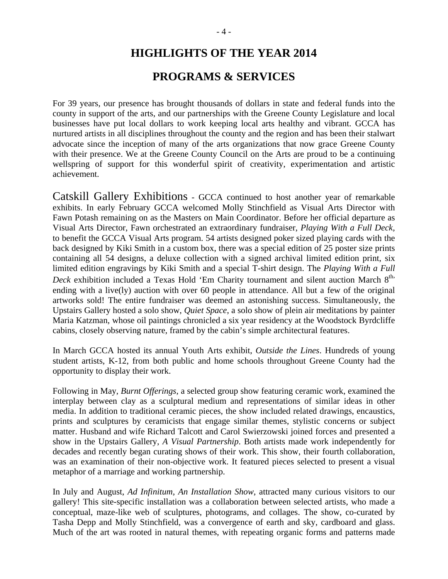# **HIGHLIGHTS OF THE YEAR 2014**

# **PROGRAMS & SERVICES**

For 39 years, our presence has brought thousands of dollars in state and federal funds into the county in support of the arts, and our partnerships with the Greene County Legislature and local businesses have put local dollars to work keeping local arts healthy and vibrant. GCCA has nurtured artists in all disciplines throughout the county and the region and has been their stalwart advocate since the inception of many of the arts organizations that now grace Greene County with their presence. We at the Greene County Council on the Arts are proud to be a continuing wellspring of support for this wonderful spirit of creativity, experimentation and artistic achievement.

Catskill Gallery Exhibitions - GCCA continued to host another year of remarkable exhibits. In early February GCCA welcomed Molly Stinchfield as Visual Arts Director with Fawn Potash remaining on as the Masters on Main Coordinator. Before her official departure as Visual Arts Director, Fawn orchestrated an extraordinary fundraiser, *Playing With a Full Deck,*  to benefit the GCCA Visual Arts program. 54 artists designed poker sized playing cards with the back designed by Kiki Smith in a custom box, there was a special edition of 25 poster size prints containing all 54 designs, a deluxe collection with a signed archival limited edition print, six limited edition engravings by Kiki Smith and a special T-shirt design. The *Playing With a Full Deck* exhibition included a Texas Hold 'Em Charity tournament and silent auction March 8<sup>th,</sup> ending with a live(ly) auction with over 60 people in attendance. All but a few of the original artworks sold! The entire fundraiser was deemed an astonishing success. Simultaneously, the Upstairs Gallery hosted a solo show, *Quiet Space*, a solo show of plein air meditations by painter Maria Katzman, whose oil paintings chronicled a six year residency at the Woodstock Byrdcliffe cabins, closely observing nature, framed by the cabin's simple architectural features.

In March GCCA hosted its annual Youth Arts exhibit, *Outside the Lines*. Hundreds of young student artists, K-12, from both public and home schools throughout Greene County had the opportunity to display their work.

Following in May, *Burnt Offerings*, a selected group show featuring ceramic work, examined the interplay between clay as a sculptural medium and representations of similar ideas in other media. In addition to traditional ceramic pieces, the show included related drawings, encaustics, prints and sculptures by ceramicists that engage similar themes, stylistic concerns or subject matter. Husband and wife Richard Talcott and Carol Swierzowski joined forces and presented a show in the Upstairs Gallery, *A Visual Partnership*. Both artists made work independently for decades and recently began curating shows of their work. This show, their fourth collaboration, was an examination of their non-objective work. It featured pieces selected to present a visual metaphor of a marriage and working partnership.

In July and August, *Ad Infinitum, An Installation Show*, attracted many curious visitors to our gallery! This site-specific installation was a collaboration between selected artists, who made a conceptual, maze-like web of sculptures, photograms, and collages. The show, co-curated by Tasha Depp and Molly Stinchfield, was a convergence of earth and sky, cardboard and glass. Much of the art was rooted in natural themes, with repeating organic forms and patterns made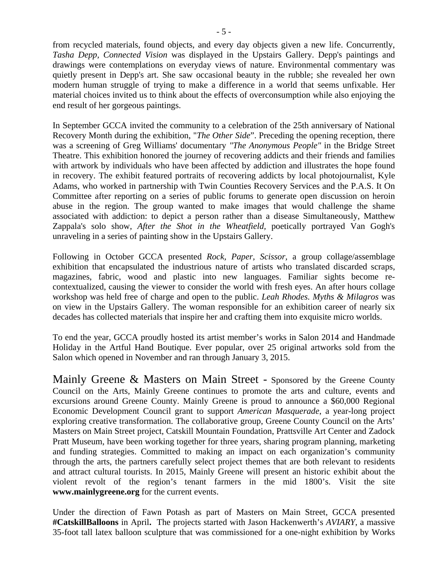from recycled materials, found objects, and every day objects given a new life. Concurrently, *Tasha Depp, Connected Vision* was displayed in the Upstairs Gallery. Depp's paintings and drawings were contemplations on everyday views of nature. Environmental commentary was quietly present in Depp's art. She saw occasional beauty in the rubble; she revealed her own modern human struggle of trying to make a difference in a world that seems unfixable. Her material choices invited us to think about the effects of overconsumption while also enjoying the end result of her gorgeous paintings.

In September GCCA invited the community to a celebration of the 25th anniversary of National Recovery Month during the exhibition, "*The Other Side*". Preceding the opening reception, there was a screening of Greg Williams' documentary *"The Anonymous People"* in the Bridge Street Theatre. This exhibition honored the journey of recovering addicts and their friends and families with artwork by individuals who have been affected by addiction and illustrates the hope found in recovery. The exhibit featured portraits of recovering addicts by local photojournalist, Kyle Adams, who worked in partnership with Twin Counties Recovery Services and the P.A.S. It On Committee after reporting on a series of public forums to generate open discussion on heroin abuse in the region. The group wanted to make images that would challenge the shame associated with addiction: to depict a person rather than a disease Simultaneously, Matthew Zappala's solo show, *After the Shot in the Wheatfield,* poetically portrayed Van Gogh's unraveling in a series of painting show in the Upstairs Gallery.

Following in October GCCA presented *Rock, Paper, Scissor,* a group collage/assemblage exhibition that encapsulated the industrious nature of artists who translated discarded scraps, magazines, fabric, wood and plastic into new languages. Familiar sights become recontextualized, causing the viewer to consider the world with fresh eyes. An after hours collage workshop was held free of charge and open to the public. *Leah Rhodes. Myths & Milagros* was on view in the Upstairs Gallery. The woman responsible for an exhibition career of nearly six decades has collected materials that inspire her and crafting them into exquisite micro worlds.

To end the year, GCCA proudly hosted its artist member's works in Salon 2014 and Handmade Holiday in the Artful Hand Boutique. Ever popular, over 25 original artworks sold from the Salon which opened in November and ran through January 3, 2015.

Mainly Greene & Masters on Main Street - Sponsored by the Greene County Council on the Arts, Mainly Greene continues to promote the arts and culture, events and excursions around Greene County. Mainly Greene is proud to announce a \$60,000 Regional Economic Development Council grant to support *American Masquerade*, a year-long project exploring creative transformation. The collaborative group, Greene County Council on the Arts' Masters on Main Street project, Catskill Mountain Foundation, Prattsville Art Center and Zadock Pratt Museum, have been working together for three years, sharing program planning, marketing and funding strategies. Committed to making an impact on each organization's community through the arts, the partners carefully select project themes that are both relevant to residents and attract cultural tourists. In 2015, Mainly Greene will present an historic exhibit about the violent revolt of the region's tenant farmers in the mid 1800's. Visit the site **www.mainlygreene.org** for the current events.

Under the direction of Fawn Potash as part of Masters on Main Street, GCCA presented **#CatskillBalloons** in April**.** The projects started with Jason Hackenwerth's *AVIARY*, a massive 35-foot tall latex balloon sculpture that was commissioned for a one-night exhibition by Works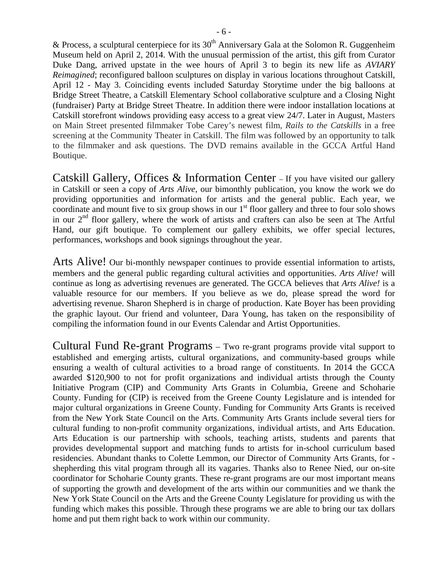& Process, a sculptural centerpiece for its  $30<sup>th</sup>$  Anniversary Gala at the Solomon R. Guggenheim Museum held on April 2, 2014. With the unusual permission of the artist, this gift from Curator Duke Dang, arrived upstate in the wee hours of April 3 to begin its new life as *AVIARY Reimagined*; reconfigured balloon sculptures on display in various locations throughout Catskill, April 12 - May 3. Coinciding events included Saturday Storytime under the big balloons at Bridge Street Theatre, a Catskill Elementary School collaborative sculpture and a Closing Night (fundraiser) Party at Bridge Street Theatre. In addition there were indoor installation locations at Catskill storefront windows providing easy access to a great view 24/7. Later in August, Masters on Main Street presented filmmaker Tobe Carey's newest film, *Rails to the Catskills* in a free screening at the Community Theater in Catskill. The film was followed by an opportunity to talk to the filmmaker and ask questions. The DVD remains available in the GCCA Artful Hand Boutique.

Catskill Gallery, Offices & Information Center – If you have visited our gallery in Catskill or seen a copy of *Arts Alive*, our bimonthly publication, you know the work we do providing opportunities and information for artists and the general public. Each year, we coordinate and mount five to six group shows in our  $1<sup>st</sup>$  floor gallery and three to four solo shows in our  $2<sup>nd</sup>$  floor gallery, where the work of artists and crafters can also be seen at The Artful Hand, our gift boutique. To complement our gallery exhibits, we offer special lectures, performances, workshops and book signings throughout the year.

Arts Alive! Our bi-monthly newspaper continues to provide essential information to artists, members and the general public regarding cultural activities and opportunities. *Arts Alive!* will continue as long as advertising revenues are generated. The GCCA believes that *Arts Alive!* is a valuable resource for our members. If you believe as we do, please spread the word for advertising revenue. Sharon Shepherd is in charge of production. Kate Boyer has been providing the graphic layout. Our friend and volunteer, Dara Young, has taken on the responsibility of compiling the information found in our Events Calendar and Artist Opportunities.

Cultural Fund Re-grant Programs – Two re-grant programs provide vital support to established and emerging artists, cultural organizations, and community-based groups while ensuring a wealth of cultural activities to a broad range of constituents. In 2014 the GCCA awarded \$120,900 to not for profit organizations and individual artists through the County Initiative Program (CIP) and Community Arts Grants in Columbia, Greene and Schoharie County. Funding for (CIP) is received from the Greene County Legislature and is intended for major cultural organizations in Greene County. Funding for Community Arts Grants is received from the New York State Council on the Arts. Community Arts Grants include several tiers for cultural funding to non-profit community organizations, individual artists, and Arts Education. Arts Education is our partnership with schools, teaching artists, students and parents that provides developmental support and matching funds to artists for in-school curriculum based residencies. Abundant thanks to Colette Lemmon, our Director of Community Arts Grants, for shepherding this vital program through all its vagaries. Thanks also to Renee Nied, our on-site coordinator for Schoharie County grants. These re-grant programs are our most important means of supporting the growth and development of the arts within our communities and we thank the New York State Council on the Arts and the Greene County Legislature for providing us with the funding which makes this possible. Through these programs we are able to bring our tax dollars home and put them right back to work within our community.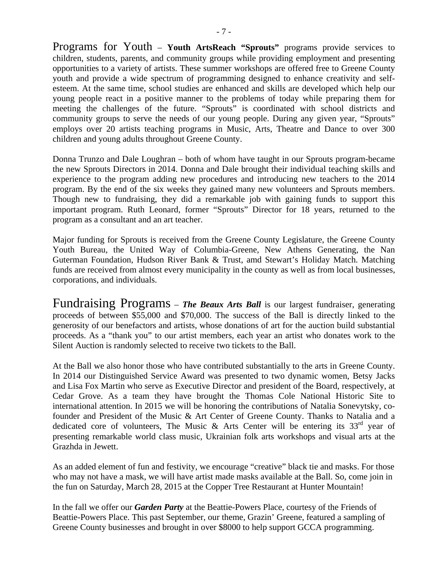Programs for Youth – **Youth ArtsReach "Sprouts"** programs provide services to children, students, parents, and community groups while providing employment and presenting opportunities to a variety of artists. These summer workshops are offered free to Greene County youth and provide a wide spectrum of programming designed to enhance creativity and selfesteem. At the same time, school studies are enhanced and skills are developed which help our young people react in a positive manner to the problems of today while preparing them for meeting the challenges of the future. "Sprouts" is coordinated with school districts and community groups to serve the needs of our young people. During any given year, "Sprouts" employs over 20 artists teaching programs in Music, Arts, Theatre and Dance to over 300 children and young adults throughout Greene County.

Donna Trunzo and Dale Loughran – both of whom have taught in our Sprouts program-became the new Sprouts Directors in 2014. Donna and Dale brought their individual teaching skills and experience to the program adding new procedures and introducing new teachers to the 2014 program. By the end of the six weeks they gained many new volunteers and Sprouts members. Though new to fundraising, they did a remarkable job with gaining funds to support this important program. Ruth Leonard, former "Sprouts" Director for 18 years, returned to the program as a consultant and an art teacher.

Major funding for Sprouts is received from the Greene County Legislature, the Greene County Youth Bureau, the United Way of Columbia-Greene, New Athens Generating, the Nan Guterman Foundation, Hudson River Bank & Trust, amd Stewart's Holiday Match. Matching funds are received from almost every municipality in the county as well as from local businesses, corporations, and individuals.

Fundraising Programs – *The Beaux Arts Ball* is our largest fundraiser, generating proceeds of between \$55,000 and \$70,000. The success of the Ball is directly linked to the generosity of our benefactors and artists, whose donations of art for the auction build substantial proceeds. As a "thank you" to our artist members, each year an artist who donates work to the Silent Auction is randomly selected to receive two tickets to the Ball.

At the Ball we also honor those who have contributed substantially to the arts in Greene County. In 2014 our Distinguished Service Award was presented to two dynamic women, Betsy Jacks and Lisa Fox Martin who serve as Executive Director and president of the Board, respectively, at Cedar Grove. As a team they have brought the Thomas Cole National Historic Site to international attention. In 2015 we will be honoring the contributions of Natalia Sonevytsky, cofounder and President of the Music & Art Center of Greene County. Thanks to Natalia and a dedicated core of volunteers, The Music & Arts Center will be entering its  $33<sup>rd</sup>$  year of presenting remarkable world class music, Ukrainian folk arts workshops and visual arts at the Grazhda in Jewett.

As an added element of fun and festivity, we encourage "creative" black tie and masks. For those who may not have a mask, we will have artist made masks available at the Ball. So, come join in the fun on Saturday, March 28, 2015 at the Copper Tree Restaurant at Hunter Mountain!

In the fall we offer our *Garden Party* at the Beattie-Powers Place, courtesy of the Friends of Beattie-Powers Place. This past September, our theme, Grazin' Greene, featured a sampling of Greene County businesses and brought in over \$8000 to help support GCCA programming.